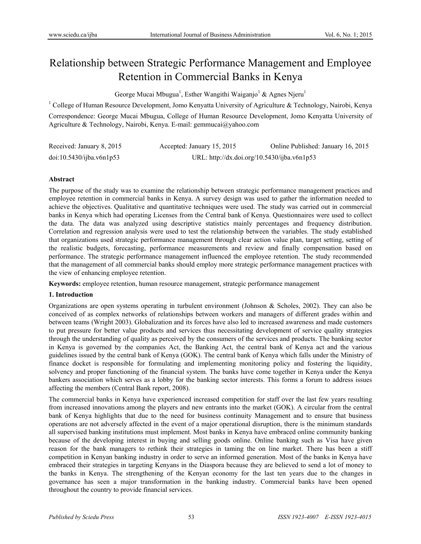# Relationship between Strategic Performance Management and Employee Retention in Commercial Banks in Kenya

George Mucai Mbugua<sup>1</sup>, Esther Wangithi Waiganjo<sup>1</sup> & Agnes Njeru<sup>1</sup>

<sup>1</sup> College of Human Resource Development, Jomo Kenyatta University of Agriculture & Technology, Nairobi, Kenya

Correspondence: George Mucai Mbugua, College of Human Resource Development, Jomo Kenyatta University of Agriculture & Technology, Nairobi, Kenya. E-mail: gemmucai@yahoo.com

| Received: January 8, 2015 | Accepted: January 15, 2015                  | Online Published: January 16, 2015 |
|---------------------------|---------------------------------------------|------------------------------------|
| doi:10.5430/ijba.v6n1p53  | URL: http://dx.doi.org/10.5430/ijba.v6n1p53 |                                    |

## **Abstract**

The purpose of the study was to examine the relationship between strategic performance management practices and employee retention in commercial banks in Kenya. A survey design was used to gather the information needed to achieve the objectives. Qualitative and quantitative techniques were used. The study was carried out in commercial banks in Kenya which had operating Licenses from the Central bank of Kenya. Questionnaires were used to collect the data. The data was analyzed using descriptive statistics mainly percentages and frequency distribution. Correlation and regression analysis were used to test the relationship between the variables. The study established that organizations used strategic performance management through clear action value plan, target setting, setting of the realistic budgets, forecasting, performance measurements and review and finally compensation based on performance. The strategic performance management influenced the employee retention. The study recommended that the management of all commercial banks should employ more strategic performance management practices with the view of enhancing employee retention.

**Keywords:** employee retention, human resource management, strategic performance management

## **1. Introduction**

Organizations are open systems operating in turbulent environment (Johnson & Scholes, 2002). They can also be conceived of as complex networks of relationships between workers and managers of different grades within and between teams (Wright 2003). Globalization and its forces have also led to increased awareness and made customers to put pressure for better value products and services thus necessitating development of service quality strategies through the understanding of quality as perceived by the consumers of the services and products. The banking sector in Kenya is governed by the companies Act, the Banking Act, the central bank of Kenya act and the various guidelines issued by the central bank of Kenya (GOK). The central bank of Kenya which falls under the Ministry of finance docket is responsible for formulating and implementing monitoring policy and fostering the liquidity, solvency and proper functioning of the financial system. The banks have come together in Kenya under the Kenya bankers association which serves as a lobby for the banking sector interests. This forms a forum to address issues affecting the members (Central Bank report, 2008).

The commercial banks in Kenya have experienced increased competition for staff over the last few years resulting from increased innovations among the players and new entrants into the market (GOK). A circular from the central bank of Kenya highlights that due to the need for business continuity Management and to ensure that business operations are not adversely affected in the event of a major operational disruption, there is the minimum standards all supervised banking institutions must implement. Most banks in Kenya have embraced online community banking because of the developing interest in buying and selling goods online. Online banking such as Visa have given reason for the bank managers to rethink their strategies in taming the on line market. There has been a stiff competition in Kenyan banking industry in order to serve an informed generation. Most of the banks in Kenya have embraced their strategies in targeting Kenyans in the Diaspora because they are believed to send a lot of money to the banks in Kenya. The strengthening of the Kenyan economy for the last ten years due to the changes in governance has seen a major transformation in the banking industry. Commercial banks have been opened throughout the country to provide financial services.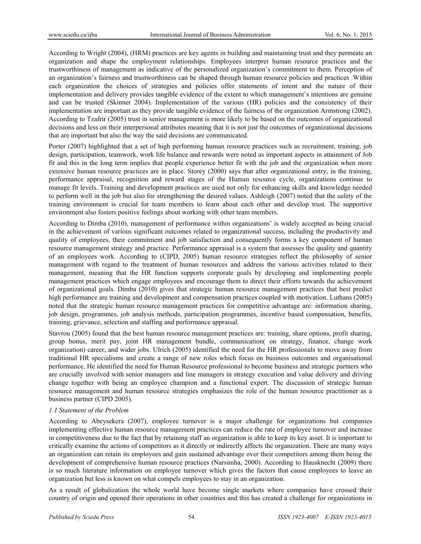According to Wright (2004), (HRM) practices are key agents in building and maintaining trust and they permeate an organization and shape the employment relationships. Employees interpret human resource practices and the trustworthiness of management as indicative of the personalized organization's commitment to them. Perception of an organization's fairness and trustworthiness can be shaped through human resource policies and practices .Within each organization the choices of strategies and policies offer statements of intent and the nature of their implementation and delivery provides tangible evidence of the extent to which management's intentions are genuine and can be trusted (Skinner 2004). Implementation of the various (HR) policies and the consistency of their implementation are important as they provide tangible evidence of the fairness of the organization Armstrong (2002). According to Tzafrir (2005) trust in senior management is more likely to be based on the outcomes of organizational decisions and less on their interpersonal attributes meaning that it is not just the outcomes of organizational decisions that are important but also the way the said decisions are communicated.

Porter (2007) highlighted that a set of high performing human resource practices such as recruitment, training, job design, participation, teamwork, work life balance and rewards were noted as important aspects in attainment of Job fit and this in the long term implies that people experience better fit with the job and the organization when more extensive human resource practices are in place. Storey (2000) says that after organizational entry, in the training, performance appraisal, recognition and reward stages of the Human resource cycle, organizations continue to manage fit levels. Training and development practices are used not only for enhancing skills and knowledge needed to perform well in the job but also for strengthening the desired values. Ashleigh (2007) noted that the safety of the training environment is crucial for team members to learn about each other and develop trust. The supportive environment also fosters positive feelings about working with other team members.

According to Dimba (2010), management of performance within organizations' is widely accepted as being crucial in the achievement of various significant outcomes related to organizational success, including the productivity and quality of employees, their commitment and job satisfaction and consequently forms a key component of human resource management strategy and practice. Performance appraisal is a system that assesses the quality and quantity of an employees work. According to (CIPD, 2005) human resource strategies reflect the philosophy of senior management with regard to the treatment of human resources and address the various activities related to their management, meaning that the HR function supports corporate goals by developing and implementing people management practices which engage employees and encourage them to direct their efforts towards the achievement of organizational goals. Dimba (2010) gives that strategic human resource management practices that best predict high performance are training and development and compensation practices coupled with motivation. Luthans (2005) noted that the strategic human resource management practices for competitive advantage are: information sharing, job design, programmes, job analysis methods, participation programmes, incentive based compensation, benefits, training, grievance, selection and staffing and performance appraisal.

Stavrou (2005) found that the best human resource management practices are: training, share options, profit sharing, group bonus, merit pay, joint HR management bundle, communication( on strategy, finance, change work organization) career, and wider jobs. Ulrich (2005) identified the need for the HR professionals to move away from traditional HR specialisms and create a range of new roles which focus on business outcomes and organisational performance. He identified the need for Human Resource professional to become business and strategic partners who are crucially involved with senior managers and line managers in strategy execution and value delivery and driving change together with being an employee champion and a functional expert. The discussion of strategic human resource management and human resource strategies emphasizes the role of the human resource practitioner as a business partner (CIPD 2005).

## *1.1 Statement of the Problem*

According to Abeysekera (2007), employee turnover is a major challenge for organizations but companies implementing effective human resource management practices can reduce the rate of employee turnover and increase in competitiveness due to the fact that by retaining staff an organization is able to keep its key asset. It is important to critically examine the actions of competitors as it directly or indirectly affects the organization. There are many ways an organization can retain its employees and gain sustained advantage over their competitors among them being the development of comprehensive human resource practices (Narsimha, 2000). According to Hausknecht (2009) there is so much literature information on employee turnover which gives the factors that cause employees to leave an organization but less is known on what compels employees to stay in an organization.

As a result of globalization the whole world have become single markets where companies have crossed their country of origin and opened their operations in other countries and this has created a challenge for organizations in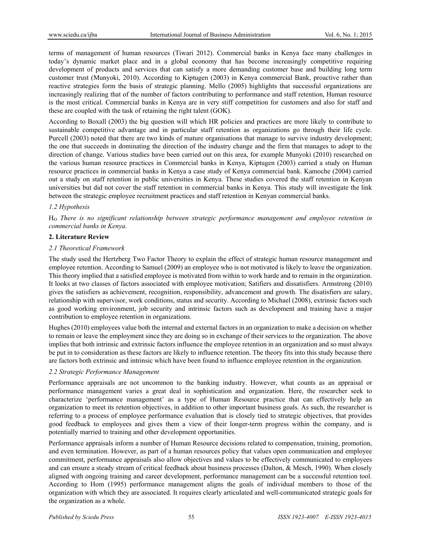terms of management of human resources (Tiwari 2012). Commercial banks in Kenya face many challenges in today's dynamic market place and in a global economy that has become increasingly competitive requiring development of products and services that can satisfy a more demanding customer base and building long term customer trust (Munyoki, 2010). According to Kiptugen (2003) in Kenya commercial Bank, proactive rather than reactive strategies form the basis of strategic planning. Mello (2005) highlights that successful organizations are increasingly realizing that of the number of factors contributing to performance and staff retention, Human resource is the most critical. Commercial banks in Kenya are in very stiff competition for customers and also for staff and these are coupled with the task of retaining the right talent (GOK).

According to Boxall (2003) the big question will which HR policies and practices are more likely to contribute to sustainable competitive advantage and in particular staff retention as organizations go through their life cycle. Purcell (2003) noted that there are two kinds of mature organisations that manage to survive industry development; the one that succeeds in dominating the direction of the industry change and the firm that manages to adopt to the direction of change. Various studies have been carried out on this area, for example Munyoki (2010) researched on the various human resource practices in Commercial banks in Kenya, Kiptugen (2003) carried a study on Human resource practices in commercial banks in Kenya a case study of Kenya commercial bank. Kamoche (2004) carried out a study on staff retention in public universities in Kenya. These studies covered the staff retention in Kenyan universities but did not cover the staff retention in commercial banks in Kenya. This study will investigate the link between the strategic employee recruitment practices and staff retention in Kenyan commercial banks.

# *1.2 Hypothesis*

HO *There is no significant relationship between strategic performance management and employee retention in commercial banks in Kenya.* 

## **2. Literature Review**

#### *2.1 Theoretical Framework*

The study used the Hertzberg Two Factor Theory to explain the effect of strategic human resource management and employee retention. According to Samuel (2009) an employee who is not motivated is likely to leave the organization. This theory implied that a satisfied employee is motivated from within to work harde and to remain in the organization. It looks at two classes of factors associated with employee motivation; Satifiers and dissatisfiers. Armstrong (2010) gives the satisfiers as achievement, recognition, responsibility, advancement and growth. The disatisfiers are salary, relationship with supervisor, work conditions, status and security. According to Michael (2008), extrinsic factors such as good working environment, job security and intrinsic factors such as development and training have a major contribution to employee retention in organizations.

Hughes (2010) employees value both the internal and external factors in an organization to make a decision on whether to remain or leave the employment since they are doing so in exchange of their services to the organization. The above implies that both intrinsic and extrinsic factors influence the employee retention in an organization and so must always be put in to consideration as these factors are likely to influence retention. The theory fits into this study because there are factors both extrinsic and intrinsic which have been found to influence employee retention in the organization.

## *2.2 Strategic Performance Management*

Performance appraisals are not uncommon to the banking industry. However, what counts as an appraisal or performance management varies a great deal in sophistication and organization. Here, the researcher seek to characterize 'performance management' as a type of Human Resource practice that can effectively help an organization to meet its retention objectives, in addition to other important business goals. As such, the researcher is referring to a process of employee performance evaluation that is closely tied to strategic objectives, that provides good feedback to employees and gives them a view of their longer-term progress within the company, and is potentially married to training and other development opportunities.

Performance appraisals inform a number of Human Resource decisions related to compensation, training, promotion, and even termination. However, as part of a human resources policy that values open communication and employee commitment, performance appraisals also allow objectives and values to be effectively communicated to employees and can ensure a steady stream of critical feedback about business processes (Dalton, & Mesch, 1990). When closely aligned with ongoing training and career development, performance management can be a successful retention tool. According to Hom (1995) performance management aligns the goals of individual members to those of the organization with which they are associated. It requires clearly articulated and well-communicated strategic goals for the organization as a whole.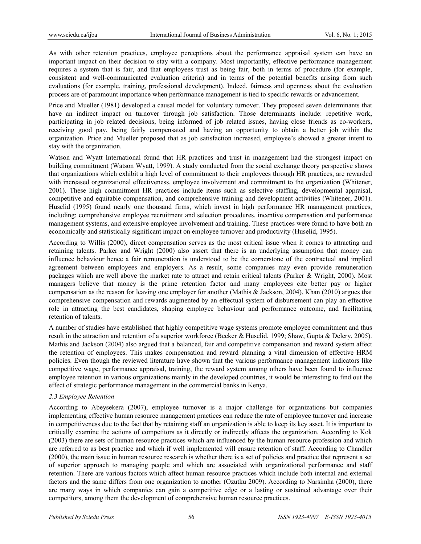As with other retention practices, employee perceptions about the performance appraisal system can have an important impact on their decision to stay with a company. Most importantly, effective performance management requires a system that is fair, and that employees trust as being fair, both in terms of procedure (for example, consistent and well-communicated evaluation criteria) and in terms of the potential benefits arising from such evaluations (for example, training, professional development). Indeed, fairness and openness about the evaluation process are of paramount importance when performance management is tied to specific rewards or advancement.

Price and Mueller (1981) developed a causal model for voluntary turnover. They proposed seven determinants that have an indirect impact on turnover through job satisfaction. Those determinants include: repetitive work, participating in job related decisions, being informed of job related issues, having close friends as co-workers, receiving good pay, being fairly compensated and having an opportunity to obtain a better job within the organization. Price and Mueller proposed that as job satisfaction increased, employee's showed a greater intent to stay with the organization.

Watson and Wyatt International found that HR practices and trust in management had the strongest impact on building commitment (Watson Wyatt, 1999). A study conducted from the social exchange theory perspective shows that organizations which exhibit a high level of commitment to their employees through HR practices, are rewarded with increased organizational effectiveness, employee involvement and commitment to the organization (Whitener, 2001). These high commitment HR practices include items such as selective staffing, developmental appraisal, competitive and equitable compensation, and comprehensive training and development activities (Whitener, 2001). Huselid (1995) found nearly one thousand firms, which invest in high performance HR management practices, including: comprehensive employee recruitment and selection procedures, incentive compensation and performance management systems, and extensive employee involvement and training. These practices were found to have both an economically and statistically significant impact on employee turnover and productivity (Huselid, 1995).

According to Willis (2000), direct compensation serves as the most critical issue when it comes to attracting and retaining talents. Parker and Wright (2000) also assert that there is an underlying assumption that money can influence behaviour hence a fair remuneration is understood to be the cornerstone of the contractual and implied agreement between employees and employers. As a result, some companies may even provide remuneration packages which are well above the market rate to attract and retain critical talents (Parker & Wright, 2000). Most managers believe that money is the prime retention factor and many employees cite better pay or higher compensation as the reason for leaving one employer for another (Mathis & Jackson, 2004). Khan (2010) argues that comprehensive compensation and rewards augmented by an effectual system of disbursement can play an effective role in attracting the best candidates, shaping employee behaviour and performance outcome, and facilitating retention of talents.

A number of studies have established that highly competitive wage systems promote employee commitment and thus result in the attraction and retention of a superior workforce (Becker & Huselid, 1999; Shaw, Gupta & Delery, 2005). Mathis and Jackson (2004) also argued that a balanced, fair and competitive compensation and reward system affect the retention of employees. This makes compensation and reward planning a vital dimension of effective HRM policies. Even though the reviewed literature have shown that the various performance management indicators like competitive wage, performance appraisal, training, the reward system among others have been found to influence employee retention in various organizations mainly in the developed countries, it would be interesting to find out the effect of strategic performance management in the commercial banks in Kenya.

#### *2.3 Employee Retention*

According to Abeysekera (2007), employee turnover is a major challenge for organizations but companies implementing effective human resource management practices can reduce the rate of employee turnover and increase in competitiveness due to the fact that by retaining staff an organization is able to keep its key asset. It is important to critically examine the actions of competitors as it directly or indirectly affects the organization. According to Kok (2003) there are sets of human resource practices which are influenced by the human resource profession and which are referred to as best practice and which if well implemented will ensure retention of staff. According to Chandler (2000), the main issue in human resource research is whether there is a set of policies and practice that represent a set of superior approach to managing people and which are associated with organizational performance and staff retention. There are various factors which affect human resource practices which include both internal and external factors and the same differs from one organization to another (Ozutku 2009). According to Narsimha (2000), there are many ways in which companies can gain a competitive edge or a lasting or sustained advantage over their competitors, among them the development of comprehensive human resource practices.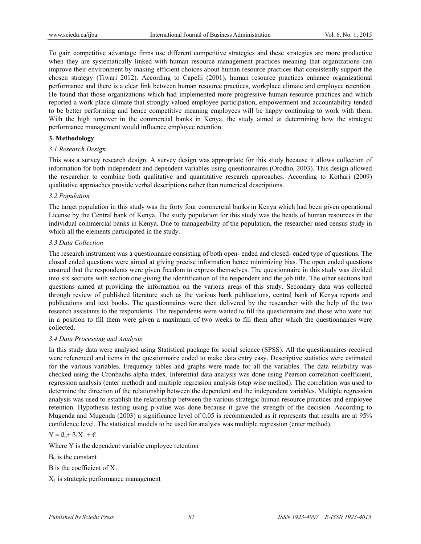To gain competitive advantage firms use different competitive strategies and these strategies are more productive when they are systematically linked with human resource management practices meaning that organizations can improve their environment by making efficient choices about human resource practices that consistently support the chosen strategy (Tiwari 2012). According to Capelli (2001), human resource practices enhance organizational performance and there is a clear link between human resource practices, workplace climate and employee retention. He found that those organizations which had implemented more progressive human resource practices and which reported a work place climate that strongly valued employee participation, empowerment and accountability tended to be better performing and hence competitive meaning employees will be happy continuing to work with them. With the high turnover in the commercial banks in Kenya, the study aimed at determining how the strategic performance management would influence employee retention.

## **3. Methodology**

## *3.1 Research Design*

This was a survey research design. A survey design was appropriate for this study because it allows collection of information for both independent and dependent variables using questionnaires (Orodho, 2003). This design allowed the researcher to combine both qualitative and quantitative research approaches. According to Kothari (2009) qualitative approaches provide verbal descriptions rather than numerical descriptions.

## *3.2 Population*

The target population in this study was the forty four commercial banks in Kenya which had been given operational License by the Central bank of Kenya. The study population for this study was the heads of human resources in the individual commercial banks in Kenya. Due to manageability of the population, the researcher used census study in which all the elements participated in the study.

# *3.3 Data Collection*

The research instrument was a questionnaire consisting of both open- ended and closed- ended type of questions. The closed ended questions were aimed at giving precise information hence minimizing bias. The open ended questions ensured that the respondents were given freedom to express themselves. The questionnaire in this study was divided into six sections with section one giving the identification of the respondent and the job title. The other sections had questions aimed at providing the information on the various areas of this study. Secondary data was collected through review of published literature such as the various bank publications, central bank of Kenya reports and publications and text books. The questionnaires were then delivered by the researcher with the help of the two research assistants to the respondents. The respondents were waited to fill the questionnaire and those who were not in a position to fill them were given a maximum of two weeks to fill them after which the questionnaires were collected.

## *3.4 Data Processing and Analysis*

In this study data were analysed using Statistical package for social science (SPSS). All the questionnaires received were referenced and items in the questionnaire coded to make data entry easy. Descriptive statistics were estimated for the various variables. Frequency tables and graphs were made for all the variables. The data reliability was checked using the Cronbachs alpha index. Inferential data analysis was done using Pearson correlation coefficient, regression analysis (enter method) and multiple regression analysis (step wise method). The correlation was used to determine the direction of the relationship between the dependent and the independent variables. Multiple regression analysis was used to establish the relationship between the various strategic human resource practices and employee retention. Hypothesis testing using p-value was done because it gave the strength of the decision. According to Mugenda and Mugenda (2003) a significance level of 0.05 is recommended as it represents that results are at 95% confidence level. The statistical models to be used for analysis was multiple regression (enter method).

## $Y = \beta_0 + \beta_1 X_1 + \epsilon$

Where Y is the dependent variable employee retention

 $B<sub>0</sub>$  is the constant

B is the coefficient of  $X_1$ 

 $X_1$  is strategic performance management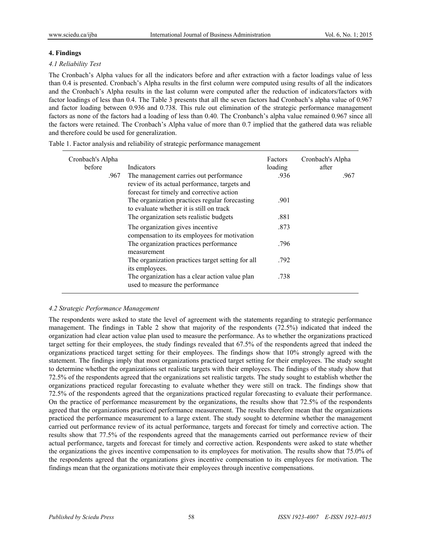#### **4. Findings**

#### *4.1 Reliability Test*

The Cronbach's Alpha values for all the indicators before and after extraction with a factor loadings value of less than 0.4 is presented. Cronbach's Alpha results in the first column were computed using results of all the indicators and the Cronbach's Alpha results in the last column were computed after the reduction of indicators/factors with factor loadings of less than 0.4. The Table 3 presents that all the seven factors had Cronbach's alpha value of 0.967 and factor loading between 0.936 and 0.738. This rule out elimination of the strategic performance management factors as none of the factors had a loading of less than 0.40. The Cronbanch's alpha value remained 0.967 since all the factors were retained. The Cronbach's Alpha value of more than 0.7 implied that the gathered data was reliable and therefore could be used for generalization.

| Cronbach's Alpha<br>before<br>.967 | Indicators<br>The management carries out performance<br>review of its actual performance, targets and<br>forecast for timely and corrective action | Factors<br>loading<br>.936 | Cronbach's Alpha<br>after<br>.967 |
|------------------------------------|----------------------------------------------------------------------------------------------------------------------------------------------------|----------------------------|-----------------------------------|
|                                    | The organization practices regular forecasting<br>to evaluate whether it is still on track                                                         | .901                       |                                   |
|                                    | The organization sets realistic budgets                                                                                                            | .881                       |                                   |
|                                    | The organization gives incentive<br>compensation to its employees for motivation                                                                   | .873                       |                                   |
|                                    | The organization practices performance<br>measurement                                                                                              | .796                       |                                   |
|                                    | The organization practices target setting for all<br>its employees.                                                                                | .792                       |                                   |
|                                    | The organization has a clear action value plan<br>used to measure the performance                                                                  | .738                       |                                   |

Table 1. Factor analysis and reliability of strategic performance management

## *4.2 Strategic Performance Management*

The respondents were asked to state the level of agreement with the statements regarding to strategic performance management. The findings in Table 2 show that majority of the respondents (72.5%) indicated that indeed the organization had clear action value plan used to measure the performance. As to whether the organizations practiced target setting for their employees, the study findings revealed that 67.5% of the respondents agreed that indeed the organizations practiced target setting for their employees. The findings show that 10% strongly agreed with the statement. The findings imply that most organizations practiced target setting for their employees. The study sought to determine whether the organizations set realistic targets with their employees. The findings of the study show that 72.5% of the respondents agreed that the organizations set realistic targets. The study sought to establish whether the organizations practiced regular forecasting to evaluate whether they were still on track. The findings show that 72.5% of the respondents agreed that the organizations practiced regular forecasting to evaluate their performance. On the practice of performance measurement by the organizations, the results show that 72.5% of the respondents agreed that the organizations practiced performance measurement. The results therefore mean that the organizations practiced the performance measurement to a large extent. The study sought to determine whether the management carried out performance review of its actual performance, targets and forecast for timely and corrective action. The results show that 77.5% of the respondents agreed that the managements carried out performance review of their actual performance, targets and forecast for timely and corrective action. Respondents were asked to state whether the organizations the gives incentive compensation to its employees for motivation. The results show that 75.0% of the respondents agreed that the organizations gives incentive compensation to its employees for motivation. The findings mean that the organizations motivate their employees through incentive compensations.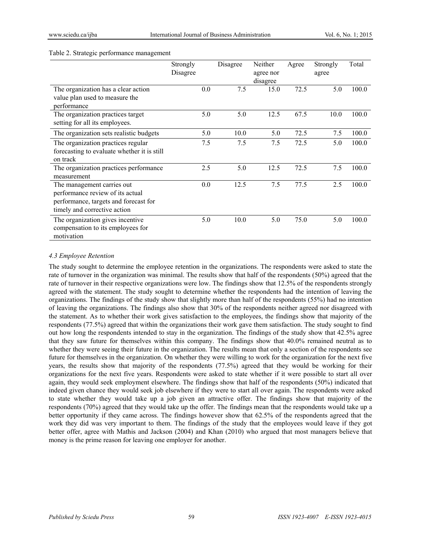Table 2. Strategic performance management

|                                             | Strongly | Disagree | Neither   | Agree | Strongly | Total |
|---------------------------------------------|----------|----------|-----------|-------|----------|-------|
|                                             | Disagree |          | agree nor |       | agree    |       |
|                                             |          |          | disagree  |       |          |       |
| The organization has a clear action         | 0.0      | 7.5      | 15.0      | 72.5  | 5.0      | 100.0 |
| value plan used to measure the              |          |          |           |       |          |       |
| performance                                 |          |          |           |       |          |       |
| The organization practices target           | 5.0      | 5.0      | 12.5      | 67.5  | 10.0     | 100.0 |
| setting for all its employees.              |          |          |           |       |          |       |
| The organization sets realistic budgets     | 5.0      | 10.0     | 5.0       | 72.5  | 7.5      | 100.0 |
| The organization practices regular          | 7.5      | 7.5      | 7.5       | 72.5  | 5.0      | 100.0 |
| forecasting to evaluate whether it is still |          |          |           |       |          |       |
| on track                                    |          |          |           |       |          |       |
| The organization practices performance      | 2.5      | 5.0      | 12.5      | 72.5  | 7.5      | 100.0 |
| measurement                                 |          |          |           |       |          |       |
| The management carries out                  | 0.0      | 12.5     | 7.5       | 77.5  | 2.5      | 100.0 |
| performance review of its actual            |          |          |           |       |          |       |
| performance, targets and forecast for       |          |          |           |       |          |       |
| timely and corrective action                |          |          |           |       |          |       |
| The organization gives incentive            | 5.0      | 10.0     | 5.0       | 75.0  | 5.0      | 100.0 |
| compensation to its employees for           |          |          |           |       |          |       |
| motivation                                  |          |          |           |       |          |       |

#### *4.3 Employee Retention*

The study sought to determine the employee retention in the organizations. The respondents were asked to state the rate of turnover in the organization was minimal. The results show that half of the respondents (50%) agreed that the rate of turnover in their respective organizations were low. The findings show that 12.5% of the respondents strongly agreed with the statement. The study sought to determine whether the respondents had the intention of leaving the organizations. The findings of the study show that slightly more than half of the respondents (55%) had no intention of leaving the organizations. The findings also show that 30% of the respondents neither agreed nor disagreed with the statement. As to whether their work gives satisfaction to the employees, the findings show that majority of the respondents (77.5%) agreed that within the organizations their work gave them satisfaction. The study sought to find out how long the respondents intended to stay in the organization. The findings of the study show that 42.5% agree that they saw future for themselves within this company. The findings show that 40.0% remained neutral as to whether they were seeing their future in the organization. The results mean that only a section of the respondents see future for themselves in the organization. On whether they were willing to work for the organization for the next five years, the results show that majority of the respondents (77.5%) agreed that they would be working for their organizations for the next five years. Respondents were asked to state whether if it were possible to start all over again, they would seek employment elsewhere. The findings show that half of the respondents (50%) indicated that indeed given chance they would seek job elsewhere if they were to start all over again. The respondents were asked to state whether they would take up a job given an attractive offer. The findings show that majority of the respondents (70%) agreed that they would take up the offer. The findings mean that the respondents would take up a better opportunity if they came across. The findings however show that 62.5% of the respondents agreed that the work they did was very important to them. The findings of the study that the employees would leave if they got better offer, agree with Mathis and Jackson (2004) and Khan (2010) who argued that most managers believe that money is the prime reason for leaving one employer for another.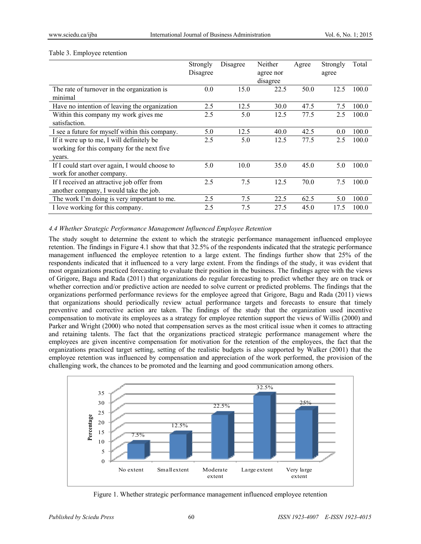|                                                                                                   | Strongly<br>Disagree | Disagree | Neither<br>agree nor<br>disagree | Agree | Strongly<br>agree | Total |
|---------------------------------------------------------------------------------------------------|----------------------|----------|----------------------------------|-------|-------------------|-------|
| The rate of turnover in the organization is<br>minimal                                            | 0.0                  | 15.0     | 22.5                             | 50.0  | 12.5              | 100.0 |
| Have no intention of leaving the organization                                                     | 2.5                  | 12.5     | 30.0                             | 47.5  | 7.5               | 100.0 |
| Within this company my work gives me<br>satisfaction.                                             | 2.5                  | 5.0      | 12.5                             | 77.5  | 2.5               | 100.0 |
| I see a future for myself within this company.                                                    | 5.0                  | 12.5     | 40.0                             | 42.5  | 0.0               | 100.0 |
| If it were up to me, I will definitely be<br>working for this company for the next five<br>years. | 2.5                  | 5.0      | 12.5                             | 77.5  | 2.5               | 100.0 |
| If I could start over again, I would choose to<br>work for another company.                       | 5.0                  | 10.0     | 35.0                             | 45.0  | 5.0               | 100.0 |
| If I received an attractive job offer from<br>another company, I would take the job.              | 2.5                  | 7.5      | 12.5                             | 70.0  | 7.5               | 100.0 |
| The work I'm doing is very important to me.                                                       | 2.5                  | 7.5      | 22.5                             | 62.5  | 5.0               | 100.0 |
| I love working for this company.                                                                  | 2.5                  | 7.5      | 27.5                             | 45.0  | 17.5              | 100.0 |

#### Table 3. Employee retention

# *4.4 Whether Strategic Performance Management Influenced Employee Retention*

The study sought to determine the extent to which the strategic performance management influenced employee retention. The findings in Figure 4.1 show that that 32.5% of the respondents indicated that the strategic performance management influenced the employee retention to a large extent. The findings further show that 25% of the respondents indicated that it influenced to a very large extent. From the findings of the study, it was evident that most organizations practiced forecasting to evaluate their position in the business. The findings agree with the views of Grigore, Bagu and Rada (2011) that organizations do regular forecasting to predict whether they are on track or whether correction and/or predictive action are needed to solve current or predicted problems. The findings that the organizations performed performance reviews for the employee agreed that Grigore, Bagu and Rada (2011) views that organizations should periodically review actual performance targets and forecasts to ensure that timely preventive and corrective action are taken. The findings of the study that the organization used incentive compensation to motivate its employees as a strategy for employee retention support the views of Willis (2000) and Parker and Wright (2000) who noted that compensation serves as the most critical issue when it comes to attracting and retaining talents. The fact that the organizations practiced strategic performance management where the employees are given incentive compensation for motivation for the retention of the employees, the fact that the organizations practiced target setting, setting of the realistic budgets is also supported by Walker (2001) that the employee retention was influenced by compensation and appreciation of the work performed, the provision of the challenging work, the chances to be promoted and the learning and good communication among others.



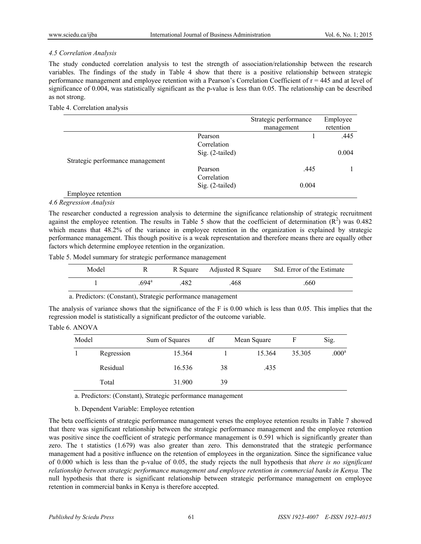## *4.5 Correlation Analysis*

The study conducted correlation analysis to test the strength of association/relationship between the research variables. The findings of the study in Table 4 show that there is a positive relationship between strategic performance management and employee retention with a Pearson's Correlation Coefficient of r = 445 and at level of significance of 0.004, was statistically significant as the p-value is less than 0.05. The relationship can be described as not strong.

Table 4. Correlation analysis

|                                  |                   | Strategic performance<br>management | Employee<br>retention |
|----------------------------------|-------------------|-------------------------------------|-----------------------|
|                                  | Pearson           |                                     | .445                  |
|                                  | Correlation       |                                     |                       |
|                                  | $Sig. (2-tailed)$ |                                     | 0.004                 |
| Strategic performance management |                   |                                     |                       |
|                                  | Pearson           | .445                                |                       |
|                                  | Correlation       |                                     |                       |
|                                  | $Sig. (2-tailed)$ | 0.004                               |                       |
| Employee retention               |                   |                                     |                       |

*4.6 Regression Analysis* 

The researcher conducted a regression analysis to determine the significance relationship of strategic recruitment against the employee retention. The results in Table 5 show that the coefficient of determination  $(R^2)$  was 0.482 which means that 48.2% of the variance in employee retention in the organization is explained by strategic performance management. This though positive is a weak representation and therefore means there are equally other factors which determine employee retention in the organization.

Table 5. Model summary for strategic performance management

| Model |                  |     | Std. Error of the Estimate<br>R Square Adjusted R Square |      |
|-------|------------------|-----|----------------------------------------------------------|------|
|       | 694 <sup>a</sup> | 482 | 468                                                      | .660 |

a. Predictors: (Constant), Strategic performance management

The analysis of variance shows that the significance of the F is 0.00 which is less than 0.05. This implies that the regression model is statistically a significant predictor of the outcome variable.

Table 6. ANOVA

| Model |            | Sum of Squares | df | Mean Square |        | Sig.              |
|-------|------------|----------------|----|-------------|--------|-------------------|
|       | Regression | 15.364         |    | 15.364      | 35.305 | .000 <sup>a</sup> |
|       | Residual   | 16.536         | 38 | .435        |        |                   |
|       | Total      | 31.900         | 39 |             |        |                   |

a. Predictors: (Constant), Strategic performance management

b. Dependent Variable: Employee retention

The beta coefficients of strategic performance management verses the employee retention results in Table 7 showed that there was significant relationship between the strategic performance management and the employee retention was positive since the coefficient of strategic performance management is 0.591 which is significantly greater than zero. The t statistics (1.679) was also greater than zero. This demonstrated that the strategic performance management had a positive influence on the retention of employees in the organization. Since the significance value of 0.000 which is less than the p-value of 0.05, the study rejects the null hypothesis that *there is no significant relationship between strategic performance management and employee retention in commercial banks in Kenya.* The null hypothesis that there is significant relationship between strategic performance management on employee retention in commercial banks in Kenya is therefore accepted.